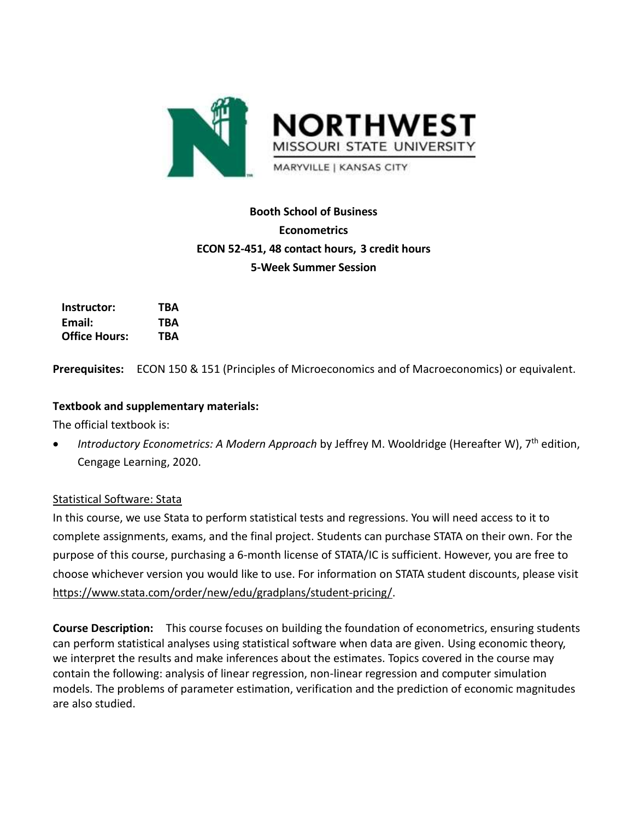

# **Booth School of Business Econometrics ECON 52-451, 48 contact hours, 3 credit hours 5-Week Summer Session**

| Instructor:          | TBA        |
|----------------------|------------|
| Email:               | TBA        |
| <b>Office Hours:</b> | <b>TBA</b> |

**Prerequisites:** ECON 150 & 151 (Principles of Microeconomics and of Macroeconomics) or equivalent.

## **Textbook and supplementary materials:**

The official textbook is:

• *Introductory Econometrics: A Modern Approach* by Jeffrey M. Wooldridge (Hereafter W), 7<sup>th</sup> edition, Cengage Learning, 2020.

## Statistical Software: Stata

In this course, we use Stata to perform statistical tests and regressions. You will need access to it to complete assignments, exams, and the final project. Students can purchase STATA on their own. For the purpose of this course, purchasing a 6-month license of STATA/IC is sufficient. However, you are free to choose whichever version you would like to use. For information on STATA student discounts, please visit [https://www.stata.com/order/new/edu/gradplans/student-pricing/.](https://www.stata.com/order/new/edu/gradplans/student-pricing/)

**Course Description:** This course focuses on building the foundation of econometrics, ensuring students can perform statistical analyses using statistical software when data are given. Using economic theory, we interpret the results and make inferences about the estimates. Topics covered in the course may contain the following: analysis of linear regression, non-linear regression and computer simulation models. The problems of parameter estimation, verification and the prediction of economic magnitudes are also studied.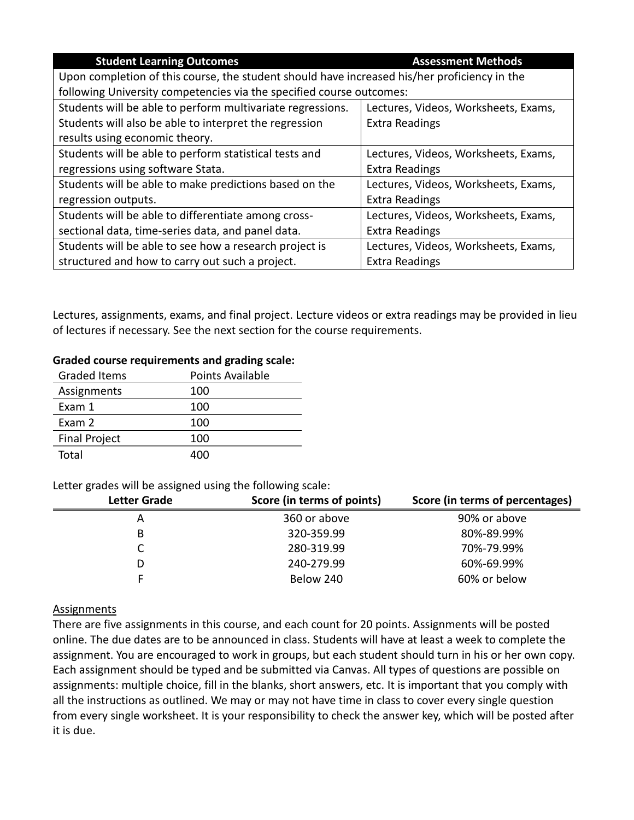| <b>Student Learning Outcomes</b>                                                             | <b>Assessment Methods</b>            |  |
|----------------------------------------------------------------------------------------------|--------------------------------------|--|
| Upon completion of this course, the student should have increased his/her proficiency in the |                                      |  |
| following University competencies via the specified course outcomes:                         |                                      |  |
| Students will be able to perform multivariate regressions.                                   | Lectures, Videos, Worksheets, Exams, |  |
| Students will also be able to interpret the regression                                       | <b>Extra Readings</b>                |  |
| results using economic theory.                                                               |                                      |  |
| Students will be able to perform statistical tests and                                       | Lectures, Videos, Worksheets, Exams, |  |
| regressions using software Stata.                                                            | <b>Extra Readings</b>                |  |
| Students will be able to make predictions based on the                                       | Lectures, Videos, Worksheets, Exams, |  |
| regression outputs.                                                                          | <b>Extra Readings</b>                |  |
| Students will be able to differentiate among cross-                                          | Lectures, Videos, Worksheets, Exams, |  |
| sectional data, time-series data, and panel data.                                            | <b>Extra Readings</b>                |  |
| Students will be able to see how a research project is                                       | Lectures, Videos, Worksheets, Exams, |  |
| structured and how to carry out such a project.                                              | <b>Extra Readings</b>                |  |

Lectures, assignments, exams, and final project. Lecture videos or extra readings may be provided in lieu of lectures if necessary. See the next section for the course requirements.

#### **Graded course requirements and grading scale:**

| <b>Graded Items</b>  | <b>Points Available</b> |
|----------------------|-------------------------|
| Assignments          | 100                     |
| Exam 1               | 100                     |
| Exam 2               | 100                     |
| <b>Final Project</b> | 100                     |
| Total                | ⊿∩∩                     |

#### Letter grades will be assigned using the following scale:

| <b>Letter Grade</b> | Score (in terms of points) | Score (in terms of percentages) |
|---------------------|----------------------------|---------------------------------|
| А                   | 360 or above               | 90% or above                    |
| B                   | 320-359.99                 | 80%-89.99%                      |
|                     | 280-319.99                 | 70%-79.99%                      |
| D                   | 240-279.99                 | 60%-69.99%                      |
|                     | Below 240                  | 60% or below                    |

#### Assignments

There are five assignments in this course, and each count for 20 points. Assignments will be posted online. The due dates are to be announced in class. Students will have at least a week to complete the assignment. You are encouraged to work in groups, but each student should turn in his or her own copy. Each assignment should be typed and be submitted via Canvas. All types of questions are possible on assignments: multiple choice, fill in the blanks, short answers, etc. It is important that you comply with all the instructions as outlined. We may or may not have time in class to cover every single question from every single worksheet. It is your responsibility to check the answer key, which will be posted after it is due.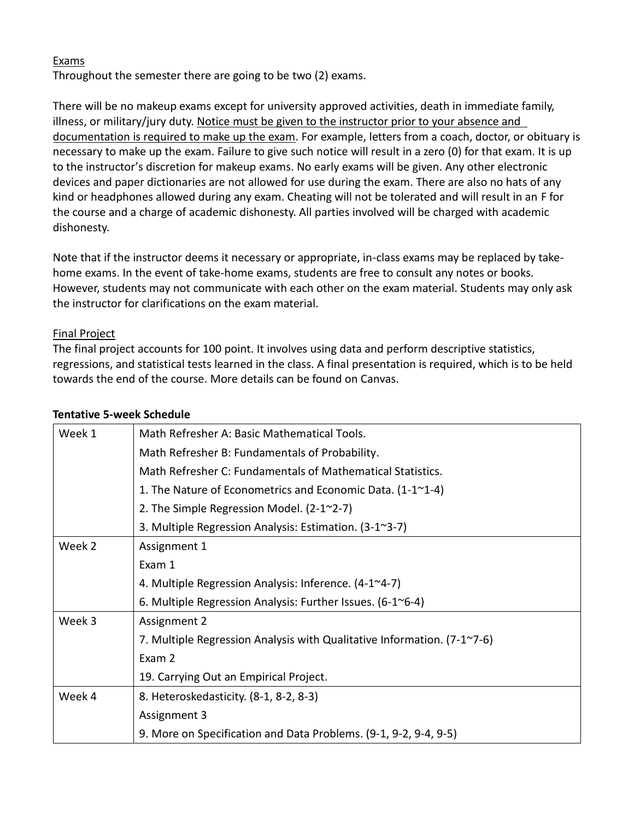### Exams

Throughout the semester there are going to be two (2) exams.

There will be no makeup exams except for university approved activities, death in immediate family, illness, or military/jury duty. Notice must be given to the instructor prior to your absence and documentation is required to make up the exam. For example, letters from a coach, doctor, or obituary is necessary to make up the exam. Failure to give such notice will result in a zero (0) for that exam. It is up to the instructor's discretion for makeup exams. No early exams will be given. Any other electronic devices and paper dictionaries are not allowed for use during the exam. There are also no hats of any kind or headphones allowed during any exam. Cheating will not be tolerated and will result in an F for the course and a charge of academic dishonesty. All parties involved will be charged with academic dishonesty.

Note that if the instructor deems it necessary or appropriate, in-class exams may be replaced by takehome exams. In the event of take-home exams, students are free to consult any notes or books. However, students may not communicate with each other on the exam material. Students may only ask the instructor for clarifications on the exam material.

### Final Project

The final project accounts for 100 point. It involves using data and perform descriptive statistics, regressions, and statistical tests learned in the class. A final presentation is required, which is to be held towards the end of the course. More details can be found on Canvas.

| Week 1 | Math Refresher A: Basic Mathematical Tools.                             |
|--------|-------------------------------------------------------------------------|
|        | Math Refresher B: Fundamentals of Probability.                          |
|        | Math Refresher C: Fundamentals of Mathematical Statistics.              |
|        | 1. The Nature of Econometrics and Economic Data. $(1-1^2-4)$            |
|        | 2. The Simple Regression Model. (2-1~2-7)                               |
|        | 3. Multiple Regression Analysis: Estimation. (3-1~3-7)                  |
| Week 2 | Assignment 1                                                            |
|        | Exam 1                                                                  |
|        | 4. Multiple Regression Analysis: Inference. (4-1~4-7)                   |
|        | 6. Multiple Regression Analysis: Further Issues. (6-1~6-4)              |
| Week 3 | Assignment 2                                                            |
|        | 7. Multiple Regression Analysis with Qualitative Information. (7-1~7-6) |
|        | Exam 2                                                                  |
|        | 19. Carrying Out an Empirical Project.                                  |
| Week 4 | 8. Heteroskedasticity. (8-1, 8-2, 8-3)                                  |
|        | Assignment 3                                                            |
|        | 9. More on Specification and Data Problems. (9-1, 9-2, 9-4, 9-5)        |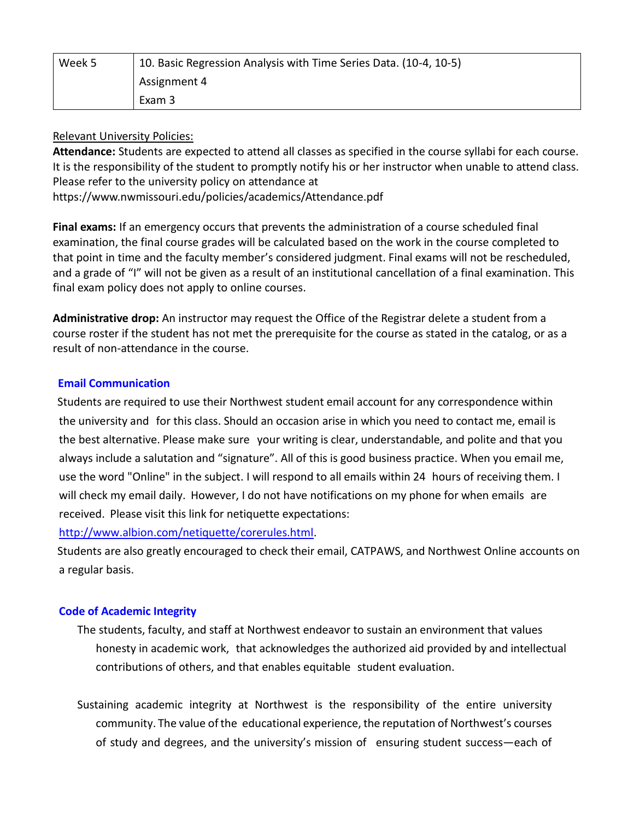| Week 5 | 10. Basic Regression Analysis with Time Series Data. (10-4, 10-5) |
|--------|-------------------------------------------------------------------|
|        | Assignment 4                                                      |
|        | Exam 3                                                            |

### Relevant University Policies:

**Attendance:** Students are expected to attend all classes as specified in the course syllabi for each course. It is the responsibility of the student to promptly notify his or her instructor when unable to attend class. Please refer to the university policy on attendance at

<https://www.nwmissouri.edu/policies/academics/Attendance.pdf>

**Final exams:** If an emergency occurs that prevents the administration of a course scheduled final examination, the final course grades will be calculated based on the work in the course completed to that point in time and the faculty member's considered judgment. Final exams will not be rescheduled, and a grade of "I" will not be given as a result of an institutional cancellation of a final examination. This final exam policy does not apply to online courses.

**Administrative drop:** An instructor may request the Office of the Registrar delete a student from a course roster if the student has not met the prerequisite for the course as stated in the catalog, or as a result of non-attendance in the course.

### **Email Communication**

Students are required to use their Northwest student email account for any correspondence within the university and for this class. Should an occasion arise in which you need to contact me, email is the best alternative. Please make sure your writing is clear, understandable, and polite and that you always include a salutation and "signature". All of this is good business practice. When you email me, use the word "Online" in the subject. I will respond to all emails within 24 hours of receiving them. I will check my email daily. However, I do not have notifications on my phone for when emails are received. Please visit this link for netiquette expectations:

[http://www.albion.com/netiquette/corerules.html.](http://www.albion.com/netiquette/corerules.html)

Students are also greatly encouraged to check their email, CATPAWS, and Northwest Online accounts on a regular basis.

#### **Code of Academic Integrity**

The students, faculty, and staff at Northwest endeavor to sustain an environment that values honesty in academic work, that acknowledges the authorized aid provided by and intellectual contributions of others, and that enables equitable student evaluation.

Sustaining academic integrity at Northwest is the responsibility of the entire university community. The value of the educational experience, the reputation of Northwest's courses of study and degrees, and the university's mission of ensuring student success—each of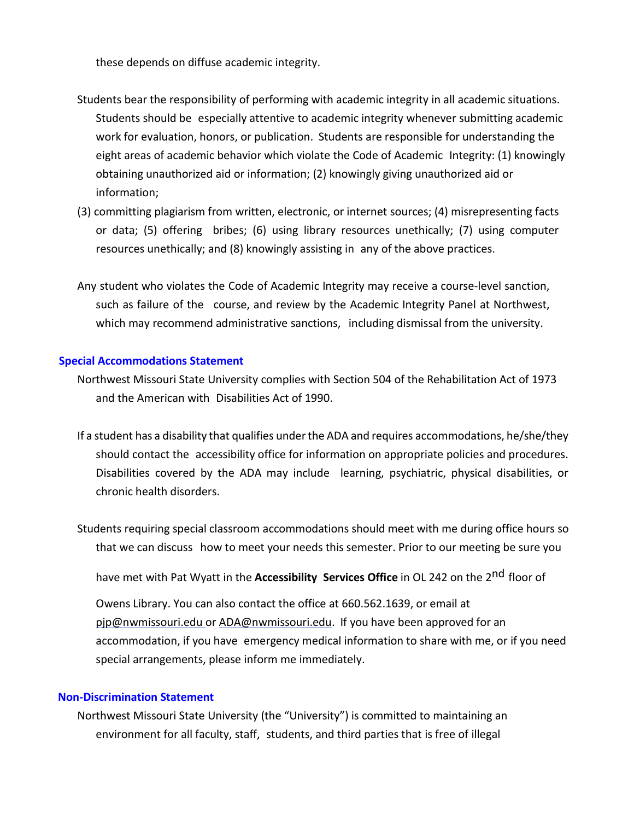these depends on diffuse academic integrity.

- Students bear the responsibility of performing with academic integrity in all academic situations. Students should be especially attentive to academic integrity whenever submitting academic work for evaluation, honors, or publication. Students are responsible for understanding the eight areas of academic behavior which violate the Code of Academic Integrity: (1) knowingly obtaining unauthorized aid or information; (2) knowingly giving unauthorized aid or information;
- (3) committing plagiarism from written, electronic, or internet sources; (4) misrepresenting facts or data; (5) offering bribes; (6) using library resources unethically; (7) using computer resources unethically; and (8) knowingly assisting in any of the above practices.
- Any student who violates the Code of Academic Integrity may receive a course-level sanction, such as failure of the course, and review by the Academic Integrity Panel at Northwest, which may recommend administrative sanctions, including dismissal from the university.

#### **Special Accommodations Statement**

- Northwest Missouri State University complies with Section 504 of the Rehabilitation Act of 1973 and the American with Disabilities Act of 1990.
- If a student has a disability that qualifies underthe ADA and requires accommodations, he/she/they should contact the accessibility office for information on appropriate policies and procedures. Disabilities covered by the ADA may include learning, psychiatric, physical disabilities, or chronic health disorders.
- Students requiring special classroom accommodations should meet with me during office hours so that we can discuss how to meet your needs this semester. Prior to our meeting be sure you

have met with Pat Wyatt in the **Accessibility Services Office** in OL 242 on the 2<sup>nd</sup> floor of

Owens Library. You can also contact the office at 660.562.1639, or email at [pjp@nwmissouri.edu o](mailto:pjp@nwmissouri.edu)r [ADA@nwmissouri.edu.](mailto:ADA@nwmissouri.edu) If you have been approved for an accommodation, if you have emergency medical information to share with me, or if you need special arrangements, please inform me immediately.

#### **Non-Discrimination Statement**

Northwest Missouri State University (the "University") is committed to maintaining an environment for all faculty, staff, students, and third parties that is free of illegal